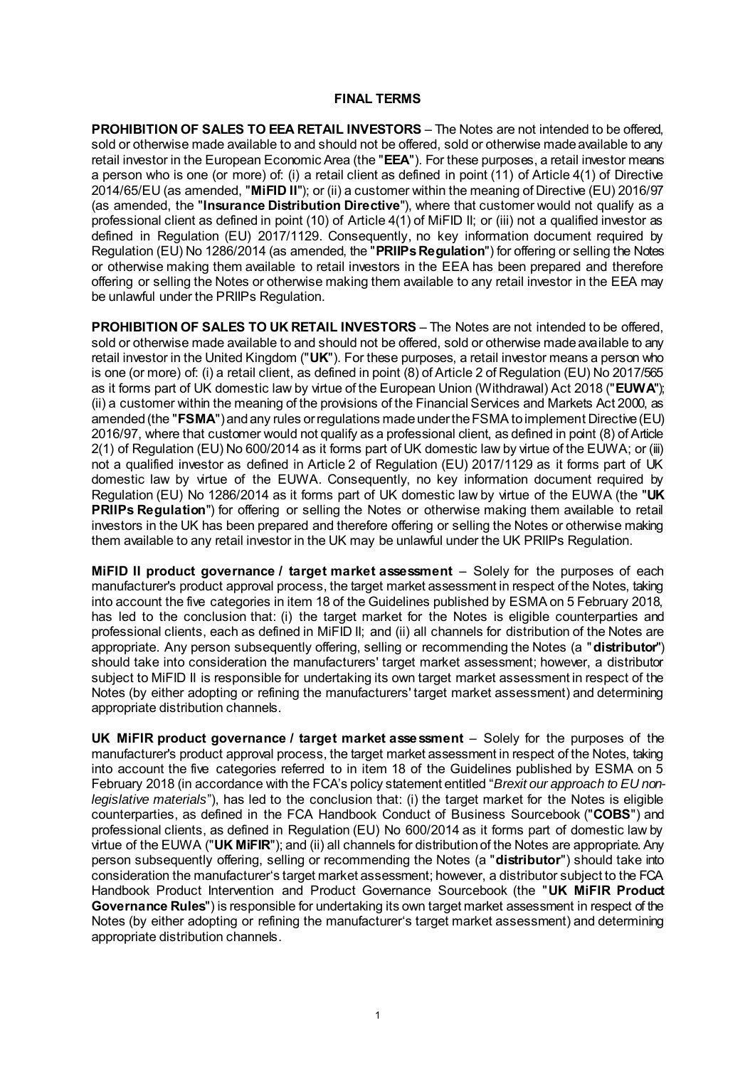#### **FINAL TERMS**

**PROHIBITION OF SALES TO EEA RETAIL INVESTORS** – The Notes are not intended to be offered, sold or otherwise made available to and should not be offered, sold or otherwise made available to any retail investor in the European Economic Area (the "**EEA**"). For these purposes, a retail investor means a person who is one (or more) of: (i) a retail client as defined in point (11) of Article 4(1) of Directive 2014/65/EU (as amended, "**MiFID II**"); or (ii) a customer within the meaning of Directive (EU) 2016/97 (as amended, the "**Insurance Distribution Directive**"), where that customer would not qualify as a professional client as defined in point (10) of Article 4(1) of MiFID II; or (iii) not a qualified investor as defined in Regulation (EU) 2017/1129. Consequently, no key information document required by Regulation (EU) No 1286/2014 (as amended, the "**PRIIPs Regulation**") for offering or selling the Notes or otherwise making them available to retail investors in the EEA has been prepared and therefore offering or selling the Notes or otherwise making them available to any retail investor in the EEA may be unlawful under the PRIIPs Regulation.

**PROHIBITION OF SALES TO UK RETAIL INVESTORS** – The Notes are not intended to be offered, sold or otherwise made available to and should not be offered, sold or otherwise made available to any retail investor in the United Kingdom ("**UK**"). For these purposes, a retail investor means a person who is one (or more) of: (i) a retail client, as defined in point (8) of Article 2 of Regulation (EU) No 2017/565 as it forms part of UK domestic law by virtue of the European Union (Withdrawal) Act 2018 ("**EUWA**"); (ii) a customer within the meaning of the provisions of the Financial Services and Markets Act 2000, as amended (the "**FSMA**") and any rules or regulations made under the FSMA to implement Directive (EU) 2016/97, where that customer would not qualify as a professional client, as defined in point (8) of Article 2(1) of Regulation (EU) No 600/2014 as it forms part of UK domestic law by virtue of the EUWA; or (iii) not a qualified investor as defined in Article 2 of Regulation (EU) 2017/1129 as it forms part of UK domestic law by virtue of the EUWA. Consequently, no key information document required by Regulation (EU) No 1286/2014 as it forms part of UK domestic law by virtue of the EUWA (the "**UK PRIIPs Regulation**") for offering or selling the Notes or otherwise making them available to retail investors in the UK has been prepared and therefore offering or selling the Notes or otherwise making them available to any retail investor in the UK may be unlawful under the UK PRIIPs Regulation.

**MiFID II product governance / target market assessment** – Solely for the purposes of each manufacturer's product approval process, the target market assessment in respect of the Notes, taking into account the five categories in item 18 of the Guidelines published by ESMA on 5 February 2018, has led to the conclusion that: (i) the target market for the Notes is eligible counterparties and professional clients, each as defined in MiFID II; and (ii) all channels for distribution of the Notes are appropriate. Any person subsequently offering, selling or recommending the Notes (a "**distributor**") should take into consideration the manufacturers' target market assessment; however, a distributor subject to MiFID II is responsible for undertaking its own target market assessment in respect of the Notes (by either adopting or refining the manufacturers' target market assessment) and determining appropriate distribution channels.

**UK MiFIR product governance / target market assessment** – Solely for the purposes of the manufacturer's product approval process, the target market assessment in respect of the Notes, taking into account the five categories referred to in item 18 of the Guidelines published by ESMA on 5 February 2018 (in accordance with the FCA's policy statement entitled "*Brexit our approach to EU nonlegislative materials*"), has led to the conclusion that: (i) the target market for the Notes is eligible counterparties, as defined in the FCA Handbook Conduct of Business Sourcebook ("**COBS**") and professional clients, as defined in Regulation (EU) No 600/2014 as it forms part of domestic law by virtue of the EUWA ("**UK MiFIR**"); and (ii) all channels for distribution of the Notes are appropriate. Any person subsequently offering, selling or recommending the Notes (a "**distributor**") should take into consideration the manufacturer's target market assessment; however, a distributor subject to the FCA Handbook Product Intervention and Product Governance Sourcebook (the "**UK MiFIR Product Governance Rules**") is responsible for undertaking its own target market assessment in respect of the Notes (by either adopting or refining the manufacturer's target market assessment) and determining appropriate distribution channels.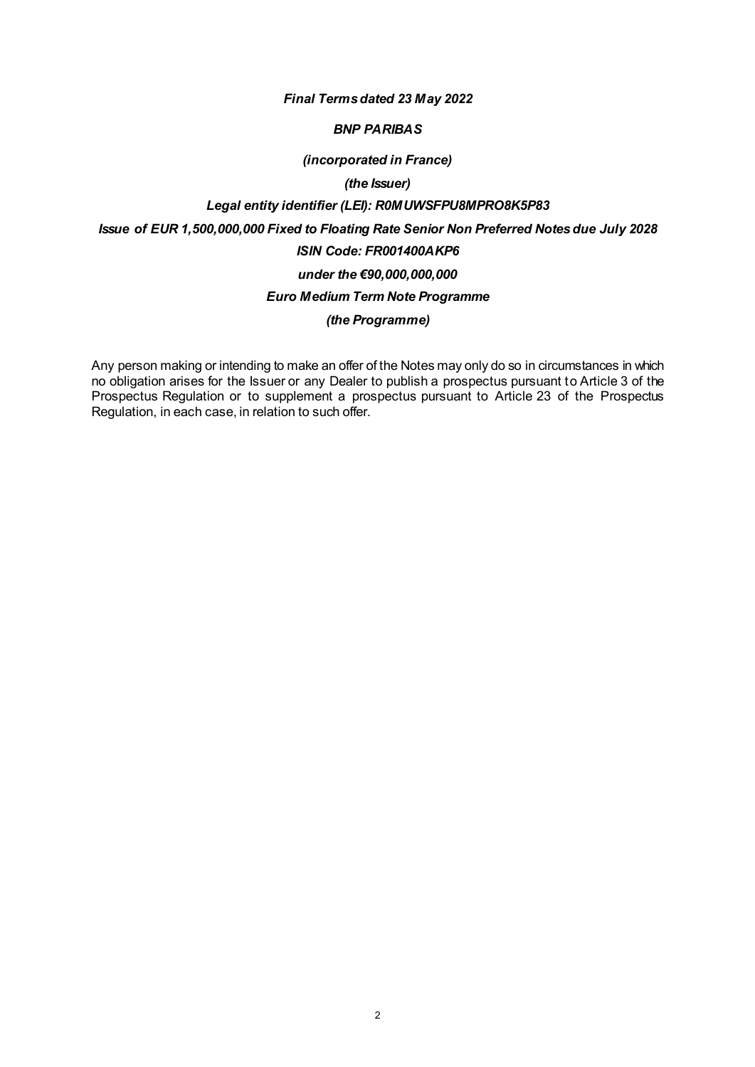#### *Final Terms dated 23 May 2022*

#### *BNP PARIBAS*

#### *(incorporated in France)*

# *(the Issuer)*

## *Legal entity identifier (LEI): R0MUWSFPU8MPRO8K5P83*

*Issue of EUR 1,500,000,000 Fixed to Floating Rate Senior Non Preferred Notes due July 2028*

# *ISIN Code: FR001400AKP6*

# *under the €90,000,000,000*

#### *Euro Medium Term Note Programme*

## *(the Programme)*

Any person making or intending to make an offer of the Notes may only do so in circumstances in which no obligation arises for the Issuer or any Dealer to publish a prospectus pursuant to Article 3 of the Prospectus Regulation or to supplement a prospectus pursuant to Article 23 of the Prospectus Regulation, in each case, in relation to such offer.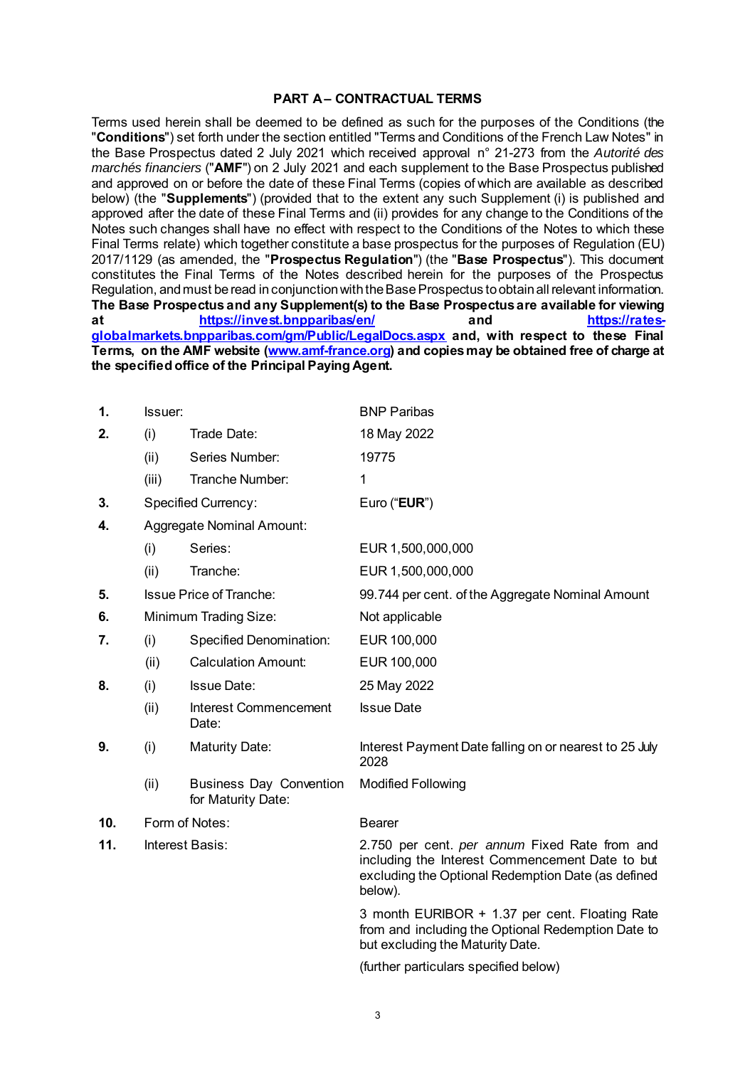#### **PART A– CONTRACTUAL TERMS**

Terms used herein shall be deemed to be defined as such for the purposes of the Conditions (the "**Conditions**") set forth under the section entitled "Terms and Conditions of the French Law Notes" in the Base Prospectus dated 2 July 2021 which received approval n° 21-273 from the *Autorité des marchés financiers* ("**AMF**") on 2 July 2021 and each supplement to the Base Prospectus published and approved on or before the date of these Final Terms (copies of which are available as described below) (the "**Supplements**") (provided that to the extent any such Supplement (i) is published and approved after the date of these Final Terms and (ii) provides for any change to the Conditions of the Notes such changes shall have no effect with respect to the Conditions of the Notes to which these Final Terms relate) which together constitute a base prospectus for the purposes of Regulation (EU) 2017/1129 (as amended, the "**Prospectus Regulation**") (the "**Base Prospectus**"). This document constitutes the Final Terms of the Notes described herein for the purposes of the Prospectus Regulation, and must be read in conjunction with the Base Prospectus to obtain all relevant information. **The Base Prospectus and any Supplement(s) to the Base Prospectus are available for viewing**  at **<https://invest.bnpparibas/en/> and [globalmarkets.bnpparibas.com/gm/Public/LegalDocs.aspx](https://rates-globalmarkets.bnpparibas.com/gm/Public/LegalDocs.aspx) and, with respect to these Final Terms, on the AMF website [\(www.amf-france.org](http://www.amf-france.org/)) and copies may be obtained free of charge at the specified office of the Principal Paying Agent.**

| 1.  | Issuer: |                                                      | <b>BNP Paribas</b>                                                                                                                                                |  |  |
|-----|---------|------------------------------------------------------|-------------------------------------------------------------------------------------------------------------------------------------------------------------------|--|--|
| 2.  | (i)     | Trade Date:                                          | 18 May 2022                                                                                                                                                       |  |  |
|     | (ii)    | Series Number:                                       | 19775                                                                                                                                                             |  |  |
|     | (iii)   | Tranche Number:                                      | $\mathbf 1$                                                                                                                                                       |  |  |
| 3.  |         | <b>Specified Currency:</b>                           | Euro (" <b>EUR</b> ")                                                                                                                                             |  |  |
| 4.  |         | Aggregate Nominal Amount:                            |                                                                                                                                                                   |  |  |
|     | (i)     | Series:                                              | EUR 1,500,000,000                                                                                                                                                 |  |  |
|     | (ii)    | Tranche:                                             | EUR 1,500,000,000                                                                                                                                                 |  |  |
| 5.  |         | <b>Issue Price of Tranche:</b>                       | 99.744 per cent. of the Aggregate Nominal Amount                                                                                                                  |  |  |
| 6.  |         | Minimum Trading Size:                                | Not applicable                                                                                                                                                    |  |  |
| 7.  | (i)     | <b>Specified Denomination:</b>                       | EUR 100,000                                                                                                                                                       |  |  |
|     | (ii)    | <b>Calculation Amount:</b>                           | EUR 100,000                                                                                                                                                       |  |  |
| 8.  | (i)     | <b>Issue Date:</b>                                   | 25 May 2022                                                                                                                                                       |  |  |
|     | (ii)    | <b>Interest Commencement</b><br>Date:                | <b>Issue Date</b>                                                                                                                                                 |  |  |
| 9.  | (i)     | <b>Maturity Date:</b>                                | Interest Payment Date falling on or nearest to 25 July<br>2028                                                                                                    |  |  |
|     | (ii)    | <b>Business Day Convention</b><br>for Maturity Date: | <b>Modified Following</b>                                                                                                                                         |  |  |
| 10. |         | Form of Notes:                                       | <b>Bearer</b>                                                                                                                                                     |  |  |
| 11. |         | Interest Basis:                                      | 2.750 per cent. per annum Fixed Rate from and<br>including the Interest Commencement Date to but<br>excluding the Optional Redemption Date (as defined<br>below). |  |  |
|     |         |                                                      | 3 month EURIBOR + 1.37 per cent. Floating Rate<br>from and including the Optional Redemption Date to<br>but excluding the Maturity Date.                          |  |  |
|     |         |                                                      | (further particulars specified below)                                                                                                                             |  |  |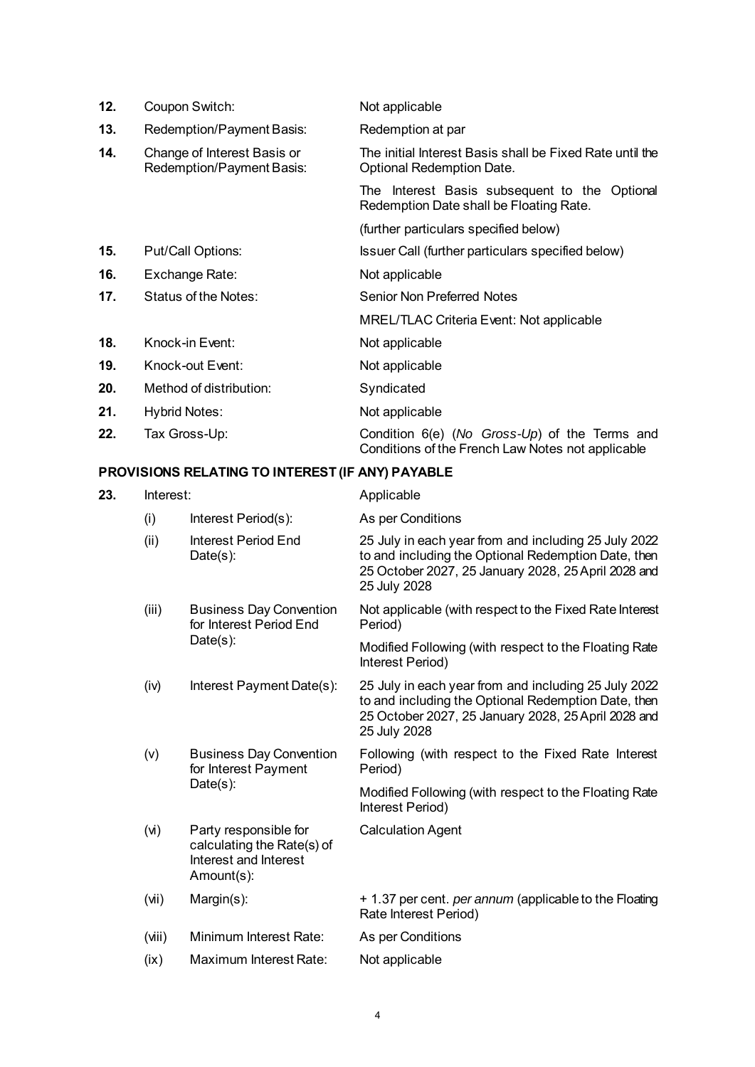| 12. | Coupon Switch:                                           | Not applicable                                                                                     |
|-----|----------------------------------------------------------|----------------------------------------------------------------------------------------------------|
| 13. | Redemption/Payment Basis:                                | Redemption at par                                                                                  |
| 14. | Change of Interest Basis or<br>Redemption/Payment Basis: | The initial Interest Basis shall be Fixed Rate until the<br>Optional Redemption Date.              |
|     |                                                          | The Interest Basis subsequent to the Optional<br>Redemption Date shall be Floating Rate.           |
|     |                                                          | (further particulars specified below)                                                              |
| 15. | Put/Call Options:                                        | Issuer Call (further particulars specified below)                                                  |
| 16. | Exchange Rate:                                           | Not applicable                                                                                     |
| 17. | Status of the Notes:                                     | <b>Senior Non Preferred Notes</b>                                                                  |
|     |                                                          | <b>MREL/TLAC Criteria Event: Not applicable</b>                                                    |
| 18. | Knock-in Event:                                          | Not applicable                                                                                     |
| 19. | Knock-out Event:                                         | Not applicable                                                                                     |
| 20. | Method of distribution:                                  | Syndicated                                                                                         |
| 21. | Hybrid Notes:                                            | Not applicable                                                                                     |
| 22. | Tax Gross-Up:                                            | Condition 6(e) (No Gross-Up) of the Terms and<br>Conditions of the French Law Notes not applicable |

# **PROVISIONS RELATING TO INTEREST (IF ANY) PAYABLE**

| 23. | Interest: |                                                                                            | Applicable                                                                                                                                                                         |  |
|-----|-----------|--------------------------------------------------------------------------------------------|------------------------------------------------------------------------------------------------------------------------------------------------------------------------------------|--|
|     | (i)       | Interest Period(s):                                                                        | As per Conditions                                                                                                                                                                  |  |
|     | (ii)      | Interest Period End<br>$Date(s)$ :                                                         | 25 July in each year from and including 25 July 2022<br>to and including the Optional Redemption Date, then<br>25 October 2027, 25 January 2028, 25 April 2028 and<br>25 July 2028 |  |
|     | (iii)     | <b>Business Day Convention</b><br>for Interest Period End<br>$Date(s)$ :                   | Not applicable (with respect to the Fixed Rate Interest<br>Period)                                                                                                                 |  |
|     |           |                                                                                            | Modified Following (with respect to the Floating Rate<br>Interest Period)                                                                                                          |  |
|     | (iv)      | Interest Payment Date(s):                                                                  | 25 July in each year from and including 25 July 2022<br>to and including the Optional Redemption Date, then<br>25 October 2027, 25 January 2028, 25 April 2028 and<br>25 July 2028 |  |
|     | (v)       | <b>Business Day Convention</b><br>for Interest Payment<br>$Date(s)$ :                      | Following (with respect to the Fixed Rate Interest<br>Period)                                                                                                                      |  |
|     |           |                                                                                            | Modified Following (with respect to the Floating Rate<br>Interest Period)                                                                                                          |  |
|     | (v)       | Party responsible for<br>calculating the Rate(s) of<br>Interest and Interest<br>Amount(s): | <b>Calculation Agent</b>                                                                                                                                                           |  |
|     | (iN)      | Margin(s):                                                                                 | + 1.37 per cent. per annum (applicable to the Floating<br>Rate Interest Period)                                                                                                    |  |
|     | (iii)     | Minimum Interest Rate:                                                                     | As per Conditions                                                                                                                                                                  |  |
|     | (ix)      | Maximum Interest Rate:                                                                     | Not applicable                                                                                                                                                                     |  |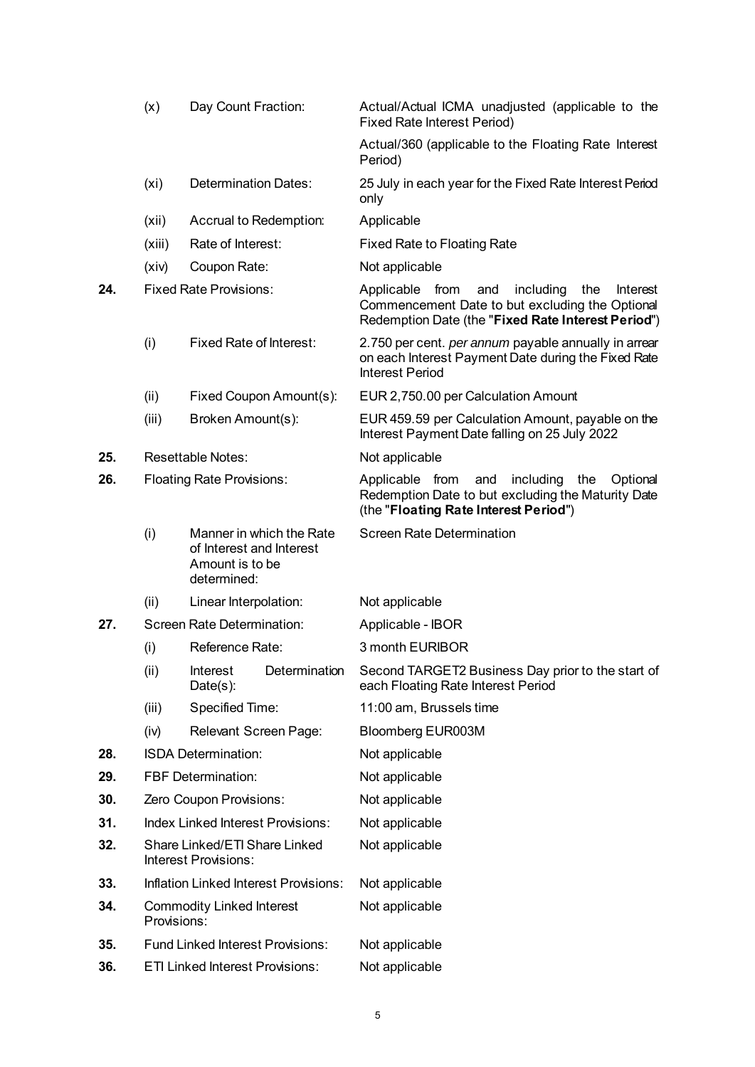|                                         | (x)                                                   | Day Count Fraction:                                        |                                                                                                                                                       | Actual/Actual ICMA unadjusted (applicable to the<br><b>Fixed Rate Interest Period)</b>                                                                          |
|-----------------------------------------|-------------------------------------------------------|------------------------------------------------------------|-------------------------------------------------------------------------------------------------------------------------------------------------------|-----------------------------------------------------------------------------------------------------------------------------------------------------------------|
|                                         |                                                       |                                                            |                                                                                                                                                       | Actual/360 (applicable to the Floating Rate Interest<br>Period)                                                                                                 |
|                                         | (xi)                                                  | Determination Dates:                                       |                                                                                                                                                       | 25 July in each year for the Fixed Rate Interest Period<br>only                                                                                                 |
|                                         | (xii)                                                 | Accrual to Redemption:                                     |                                                                                                                                                       | Applicable                                                                                                                                                      |
|                                         | (xiii)                                                | Rate of Interest:                                          |                                                                                                                                                       | <b>Fixed Rate to Floating Rate</b>                                                                                                                              |
|                                         | (xiv)                                                 | Coupon Rate:                                               |                                                                                                                                                       | Not applicable                                                                                                                                                  |
| 24.                                     | <b>Fixed Rate Provisions:</b>                         |                                                            |                                                                                                                                                       | Applicable from<br>and<br>including<br>the<br>Interest<br>Commencement Date to but excluding the Optional<br>Redemption Date (the "Fixed Rate Interest Period") |
|                                         | (i)                                                   | <b>Fixed Rate of Interest:</b>                             |                                                                                                                                                       | 2.750 per cent. per annum payable annually in arrear<br>on each Interest Payment Date during the Fixed Rate<br><b>Interest Period</b>                           |
|                                         | (ii)                                                  |                                                            | Fixed Coupon Amount(s):                                                                                                                               | EUR 2,750.00 per Calculation Amount                                                                                                                             |
|                                         | (iii)                                                 | Broken Amount(s):                                          |                                                                                                                                                       | EUR 459.59 per Calculation Amount, payable on the<br>Interest Payment Date falling on 25 July 2022                                                              |
| 25.                                     |                                                       | Resettable Notes:                                          |                                                                                                                                                       | Not applicable                                                                                                                                                  |
| 26.<br><b>Floating Rate Provisions:</b> |                                                       |                                                            | Applicable from<br>and<br>including<br>the<br>Optional<br>Redemption Date to but excluding the Maturity Date<br>(the "Floating Rate Interest Period") |                                                                                                                                                                 |
|                                         | (i)                                                   | of Interest and Interest<br>Amount is to be<br>determined: | Manner in which the Rate                                                                                                                              | Screen Rate Determination                                                                                                                                       |
|                                         | (ii)                                                  | Linear Interpolation:                                      |                                                                                                                                                       | Not applicable                                                                                                                                                  |
| 27.                                     |                                                       | Screen Rate Determination:                                 |                                                                                                                                                       | Applicable - IBOR                                                                                                                                               |
|                                         | (i)                                                   | Reference Rate:                                            |                                                                                                                                                       | 3 month EURIBOR                                                                                                                                                 |
|                                         | (ii)                                                  | <b>Interest</b><br>$Date(s)$ :                             | Determination                                                                                                                                         | Second TARGET2 Business Day prior to the start of<br>each Floating Rate Interest Period                                                                         |
|                                         | (iii)                                                 | Specified Time:                                            |                                                                                                                                                       | 11:00 am, Brussels time                                                                                                                                         |
|                                         | (iv)                                                  | <b>Relevant Screen Page:</b>                               |                                                                                                                                                       | Bloomberg EUR003M                                                                                                                                               |
| 28.                                     |                                                       | <b>ISDA Determination:</b>                                 |                                                                                                                                                       | Not applicable                                                                                                                                                  |
| 29.                                     |                                                       | <b>FBF Determination:</b>                                  |                                                                                                                                                       | Not applicable                                                                                                                                                  |
| 30.                                     |                                                       | Zero Coupon Provisions:                                    |                                                                                                                                                       | Not applicable                                                                                                                                                  |
| 31.                                     |                                                       | <b>Index Linked Interest Provisions:</b>                   |                                                                                                                                                       | Not applicable                                                                                                                                                  |
| 32.                                     | Share Linked/ETI Share Linked<br>Interest Provisions: |                                                            |                                                                                                                                                       | Not applicable                                                                                                                                                  |
| 33.                                     | Inflation Linked Interest Provisions:                 |                                                            |                                                                                                                                                       | Not applicable                                                                                                                                                  |
| 34.                                     | Provisions:                                           | <b>Commodity Linked Interest</b>                           |                                                                                                                                                       | Not applicable                                                                                                                                                  |
| 35.                                     |                                                       | <b>Fund Linked Interest Provisions:</b>                    |                                                                                                                                                       | Not applicable                                                                                                                                                  |
| 36.                                     |                                                       | <b>ETI Linked Interest Provisions:</b>                     |                                                                                                                                                       | Not applicable                                                                                                                                                  |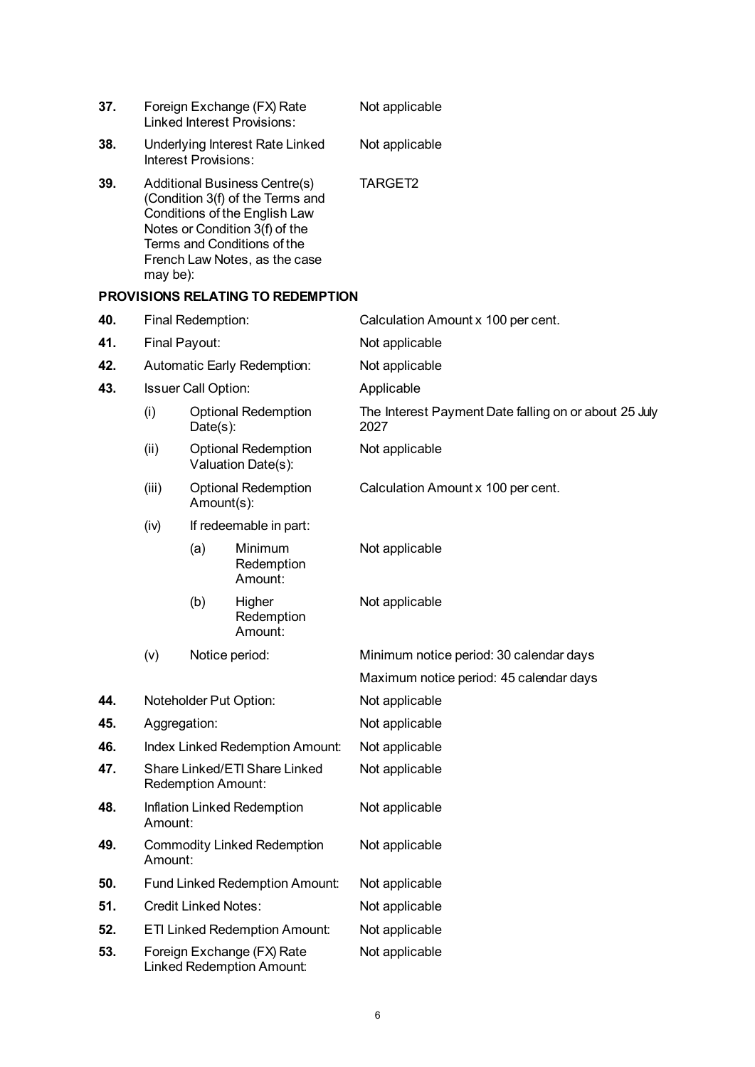| 37. | Foreign Exchange (FX) Rate<br><b>Linked Interest Provisions:</b> |                                           |                                                                                                                                                                                                             | Not applicable                                                |
|-----|------------------------------------------------------------------|-------------------------------------------|-------------------------------------------------------------------------------------------------------------------------------------------------------------------------------------------------------------|---------------------------------------------------------------|
| 38. | Underlying Interest Rate Linked<br>Interest Provisions:          |                                           |                                                                                                                                                                                                             | Not applicable                                                |
| 39. | may be):                                                         |                                           | <b>Additional Business Centre(s)</b><br>(Condition 3(f) of the Terms and<br>Conditions of the English Law<br>Notes or Condition 3(f) of the<br>Terms and Conditions of the<br>French Law Notes, as the case | TARGET2                                                       |
|     |                                                                  |                                           | <b>PROVISIONS RELATING TO REDEMPTION</b>                                                                                                                                                                    |                                                               |
| 40. |                                                                  | Final Redemption:                         |                                                                                                                                                                                                             | Calculation Amount x 100 per cent.                            |
| 41. | Final Payout:                                                    |                                           |                                                                                                                                                                                                             | Not applicable                                                |
| 42. |                                                                  |                                           | Automatic Early Redemption:                                                                                                                                                                                 | Not applicable                                                |
| 43. |                                                                  | Issuer Call Option:                       |                                                                                                                                                                                                             | Applicable                                                    |
|     | (i)                                                              | <b>Optional Redemption</b><br>$Date(s)$ : |                                                                                                                                                                                                             | The Interest Payment Date falling on or about 25 July<br>2027 |
|     | (ii)                                                             |                                           | <b>Optional Redemption</b><br>Valuation Date(s):                                                                                                                                                            | Not applicable                                                |
|     | (iii)<br><b>Optional Redemption</b><br>Amount(s):                |                                           |                                                                                                                                                                                                             | Calculation Amount x 100 per cent.                            |
|     | (iv)                                                             |                                           | If redeemable in part:                                                                                                                                                                                      |                                                               |
|     |                                                                  | (a)                                       | Minimum<br>Redemption<br>Amount:                                                                                                                                                                            | Not applicable                                                |
|     |                                                                  | (b)                                       | Higher<br>Redemption<br>Amount:                                                                                                                                                                             | Not applicable                                                |
|     | (v)                                                              | Notice period:                            |                                                                                                                                                                                                             | Minimum notice period: 30 calendar days                       |
|     |                                                                  |                                           |                                                                                                                                                                                                             | Maximum notice period: 45 calendar days                       |
| 44. |                                                                  |                                           | Noteholder Put Option:                                                                                                                                                                                      | Not applicable                                                |
| 45. | Aggregation:                                                     |                                           |                                                                                                                                                                                                             | Not applicable                                                |
| 46. |                                                                  |                                           | Index Linked Redemption Amount:                                                                                                                                                                             | Not applicable                                                |
| 47. | Share Linked/ETI Share Linked<br>Redemption Amount:              |                                           |                                                                                                                                                                                                             | Not applicable                                                |
| 48. | Inflation Linked Redemption<br>Amount:                           |                                           |                                                                                                                                                                                                             | Not applicable                                                |
| 49. | <b>Commodity Linked Redemption</b><br>Amount:                    |                                           |                                                                                                                                                                                                             | Not applicable                                                |
| 50. |                                                                  |                                           | Fund Linked Redemption Amount:                                                                                                                                                                              | Not applicable                                                |
| 51. |                                                                  | <b>Credit Linked Notes:</b>               |                                                                                                                                                                                                             | Not applicable                                                |
| 52. |                                                                  |                                           | <b>ETI Linked Redemption Amount:</b>                                                                                                                                                                        | Not applicable                                                |
| 53. |                                                                  |                                           | Foreign Exchange (FX) Rate<br><b>Linked Redemption Amount:</b>                                                                                                                                              | Not applicable                                                |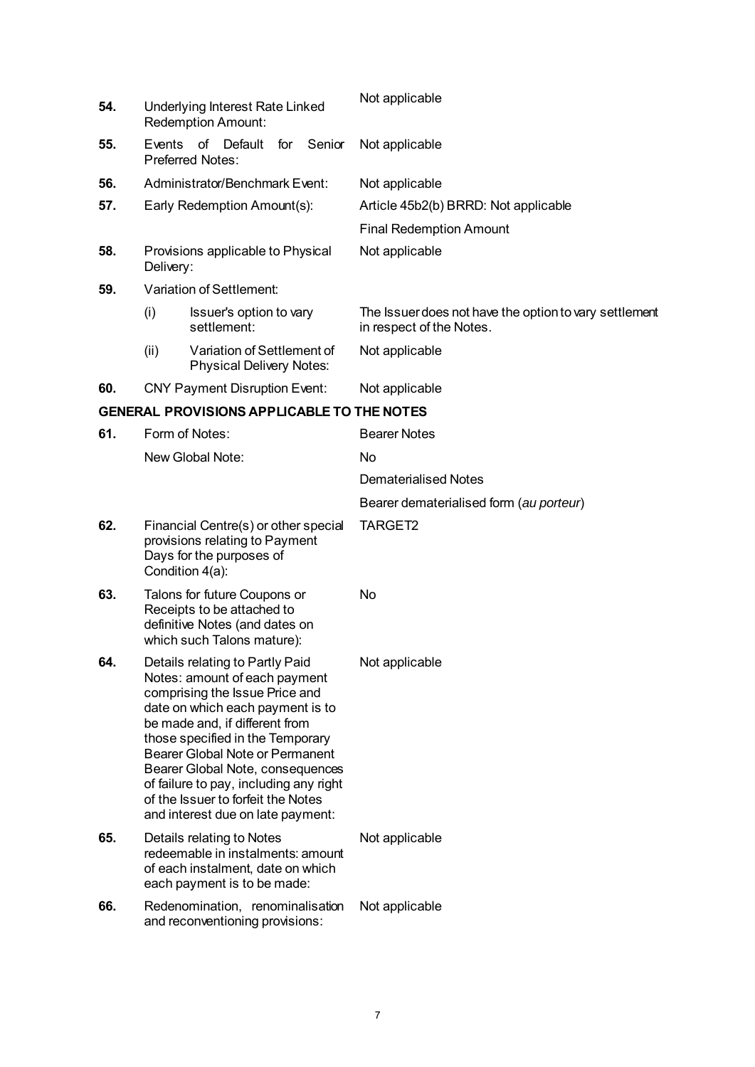| 54. | Underlying Interest Rate Linked<br>Redemption Amount:                                                                                                                                                                                                                                                                                                                                                           |                                                               |     |                | Not applicable                                                                     |
|-----|-----------------------------------------------------------------------------------------------------------------------------------------------------------------------------------------------------------------------------------------------------------------------------------------------------------------------------------------------------------------------------------------------------------------|---------------------------------------------------------------|-----|----------------|------------------------------------------------------------------------------------|
| 55. |                                                                                                                                                                                                                                                                                                                                                                                                                 | Events of Default<br><b>Preferred Notes:</b>                  | for | Senior         | Not applicable                                                                     |
| 56. |                                                                                                                                                                                                                                                                                                                                                                                                                 | Administrator/Benchmark Event:                                |     |                | Not applicable                                                                     |
| 57. |                                                                                                                                                                                                                                                                                                                                                                                                                 | Early Redemption Amount(s):                                   |     |                | Article 45b2(b) BRRD: Not applicable                                               |
|     |                                                                                                                                                                                                                                                                                                                                                                                                                 |                                                               |     |                | <b>Final Redemption Amount</b>                                                     |
| 58. | Delivery:                                                                                                                                                                                                                                                                                                                                                                                                       | Provisions applicable to Physical                             |     |                | Not applicable                                                                     |
| 59. |                                                                                                                                                                                                                                                                                                                                                                                                                 | Variation of Settlement:                                      |     |                |                                                                                    |
|     | (i)                                                                                                                                                                                                                                                                                                                                                                                                             | Issuer's option to vary<br>settlement:                        |     |                | The Issuer does not have the option to vary settlement<br>in respect of the Notes. |
|     | (ii)                                                                                                                                                                                                                                                                                                                                                                                                            | Variation of Settlement of<br><b>Physical Delivery Notes:</b> |     |                | Not applicable                                                                     |
| 60. |                                                                                                                                                                                                                                                                                                                                                                                                                 | <b>CNY Payment Disruption Event:</b>                          |     |                | Not applicable                                                                     |
|     |                                                                                                                                                                                                                                                                                                                                                                                                                 | <b>GENERAL PROVISIONS APPLICABLE TO THE NOTES</b>             |     |                |                                                                                    |
| 61. |                                                                                                                                                                                                                                                                                                                                                                                                                 | Form of Notes:                                                |     |                | <b>Bearer Notes</b>                                                                |
|     |                                                                                                                                                                                                                                                                                                                                                                                                                 | New Global Note:                                              |     |                | No                                                                                 |
|     |                                                                                                                                                                                                                                                                                                                                                                                                                 |                                                               |     |                | <b>Dematerialised Notes</b>                                                        |
|     |                                                                                                                                                                                                                                                                                                                                                                                                                 |                                                               |     |                | Bearer dematerialised form (au porteur)                                            |
| 62. | Financial Centre(s) or other special<br>provisions relating to Payment<br>Days for the purposes of<br>Condition 4(a):                                                                                                                                                                                                                                                                                           |                                                               |     |                | TARGET2                                                                            |
| 63. | Talons for future Coupons or<br>Receipts to be attached to<br>definitive Notes (and dates on<br>which such Talons mature):                                                                                                                                                                                                                                                                                      |                                                               |     |                | No                                                                                 |
| 64. | Details relating to Partly Paid<br>Notes: amount of each payment<br>comprising the Issue Price and<br>date on which each payment is to<br>be made and, if different from<br>those specified in the Temporary<br><b>Bearer Global Note or Permanent</b><br>Bearer Global Note, consequences<br>of failure to pay, including any right<br>of the Issuer to forfeit the Notes<br>and interest due on late payment: |                                                               |     | Not applicable |                                                                                    |
| 65. | Details relating to Notes<br>redeemable in instalments: amount<br>of each instalment, date on which<br>each payment is to be made:                                                                                                                                                                                                                                                                              |                                                               |     |                | Not applicable                                                                     |
| 66. | Redenomination, renominalisation<br>and reconventioning provisions:                                                                                                                                                                                                                                                                                                                                             |                                                               |     |                | Not applicable                                                                     |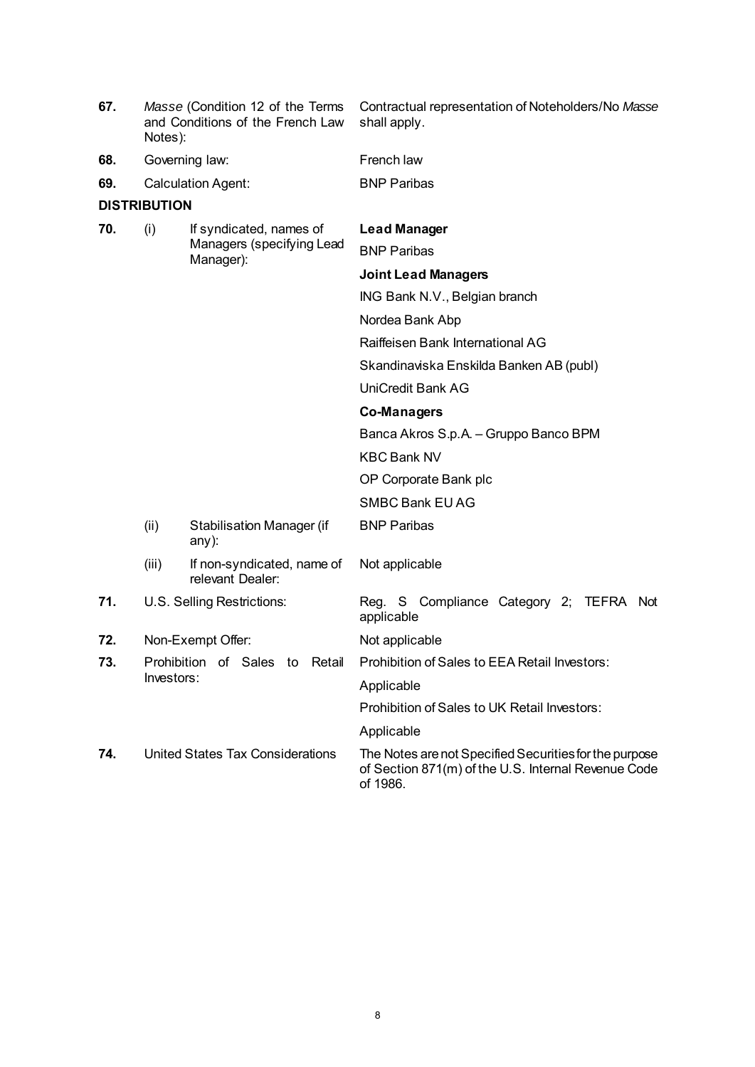| 67. | Notes):             | Masse (Condition 12 of the Terms<br>and Conditions of the French Law | Contractual representation of Noteholders/No Masse<br>shall apply.                                                        |
|-----|---------------------|----------------------------------------------------------------------|---------------------------------------------------------------------------------------------------------------------------|
| 68. |                     | Governing law:                                                       | French law                                                                                                                |
| 69. |                     | <b>Calculation Agent:</b>                                            | <b>BNP Paribas</b>                                                                                                        |
|     | <b>DISTRIBUTION</b> |                                                                      |                                                                                                                           |
| 70. | (i)                 | If syndicated, names of                                              | <b>Lead Manager</b>                                                                                                       |
|     |                     | Managers (specifying Lead<br>Manager):                               | <b>BNP Paribas</b>                                                                                                        |
|     |                     |                                                                      | <b>Joint Lead Managers</b>                                                                                                |
|     |                     |                                                                      | ING Bank N.V., Belgian branch                                                                                             |
|     |                     |                                                                      | Nordea Bank Abp                                                                                                           |
|     |                     |                                                                      | Raiffeisen Bank International AG                                                                                          |
|     |                     |                                                                      | Skandinaviska Enskilda Banken AB (publ)                                                                                   |
|     |                     |                                                                      | <b>UniCredit Bank AG</b>                                                                                                  |
|     |                     |                                                                      | Co-Managers                                                                                                               |
|     |                     |                                                                      | Banca Akros S.p.A. - Gruppo Banco BPM                                                                                     |
|     |                     |                                                                      | <b>KBC Bank NV</b>                                                                                                        |
|     |                     |                                                                      | OP Corporate Bank plc                                                                                                     |
|     |                     |                                                                      | <b>SMBC Bank EU AG</b>                                                                                                    |
|     | (ii)                | <b>Stabilisation Manager (if</b><br>$any)$ :                         | <b>BNP Paribas</b>                                                                                                        |
|     | (iii)               | If non-syndicated, name of<br>relevant Dealer:                       | Not applicable                                                                                                            |
| 71. |                     | U.S. Selling Restrictions:                                           | Reg. S Compliance Category 2; TEFRA Not<br>applicable                                                                     |
| 72. |                     | Non-Exempt Offer:                                                    | Not applicable                                                                                                            |
| 73. |                     | Prohibition of Sales to Retail                                       | Prohibition of Sales to EEA Retail Investors:                                                                             |
|     | Investors:          |                                                                      | Applicable                                                                                                                |
|     |                     |                                                                      | Prohibition of Sales to UK Retail Investors:                                                                              |
|     |                     |                                                                      | Applicable                                                                                                                |
| 74. |                     | <b>United States Tax Considerations</b>                              | The Notes are not Specified Securities for the purpose<br>of Section 871(m) of the U.S. Internal Revenue Code<br>of 1986. |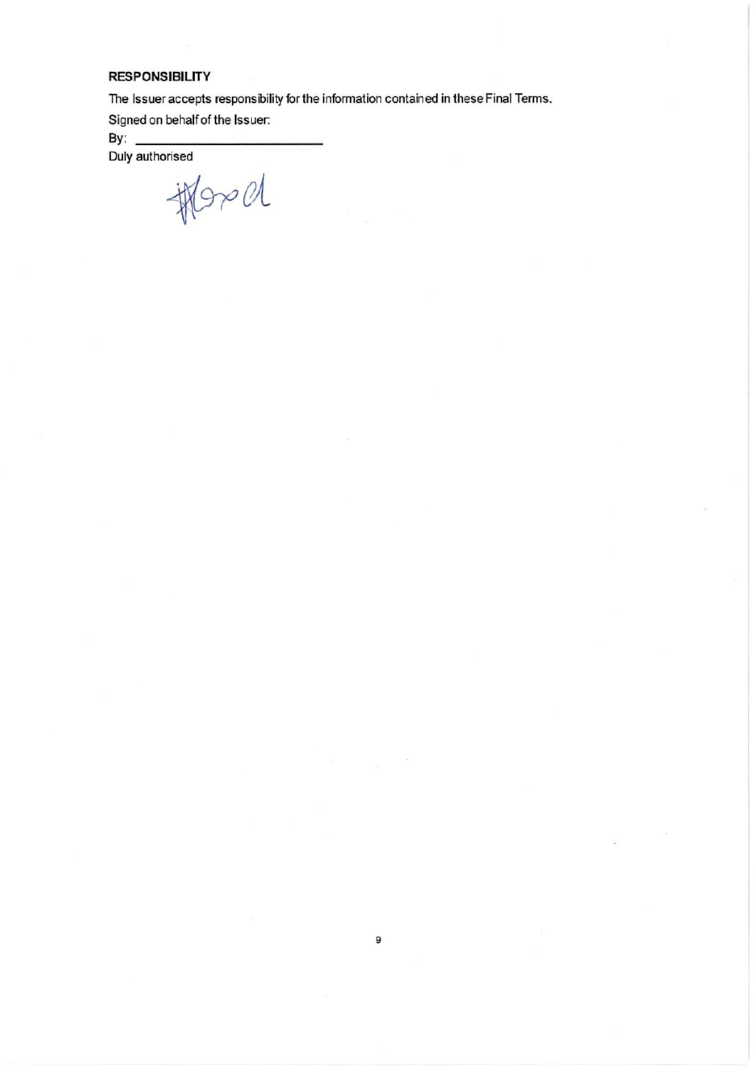## **RESPONSIBILITY**

The Issuer accepts responsibility for the information contained in these Final Terms.

Signed on behalf of the Issuer:

By:  $\_\_$ 

Duly authorised

thered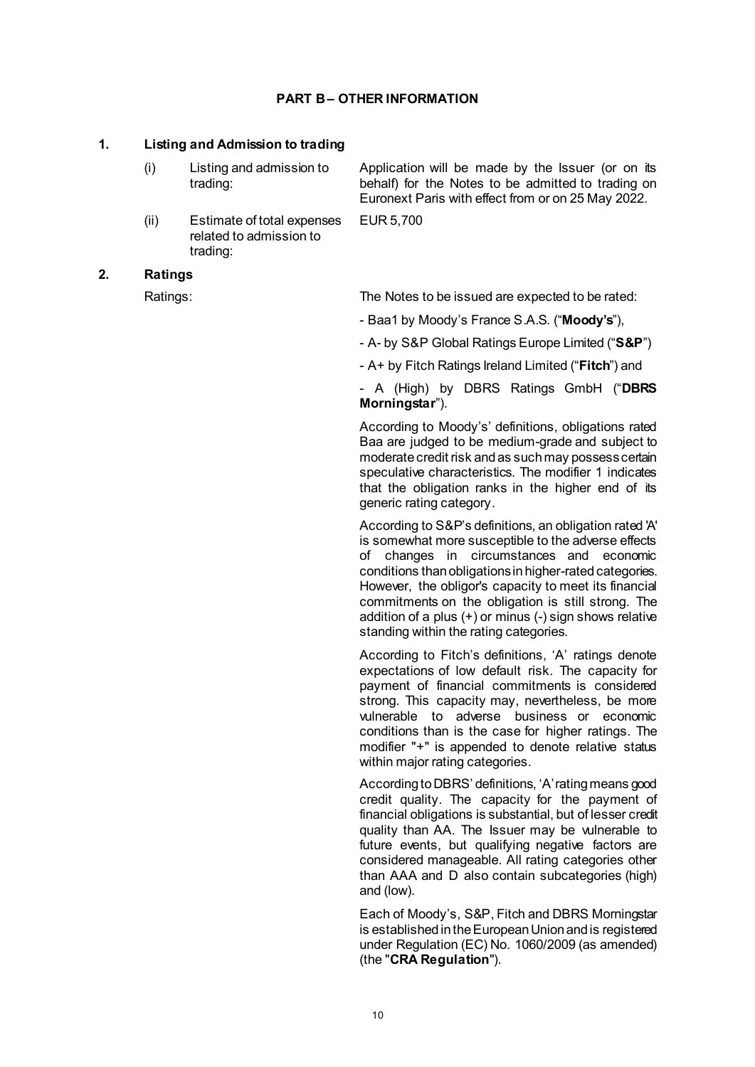#### **PART B– OTHER INFORMATION**

#### **1. Listing and Admission to trading**

- (i) Listing and admission to trading:
- (ii) Estimate of total expenses related to admission to trading:

Application will be made by the Issuer (or on its behalf) for the Notes to be admitted to trading on Euronext Paris with effect from or on 25 May 2022.

EUR 5,700

#### **2. Ratings**

Ratings: The Notes to be issued are expected to be rated:

- Baa1 by Moody's France S.A.S. ("**Moody's**"),
- A- by S&P Global Ratings Europe Limited ("**S&P**")
- A+ by Fitch Ratings Ireland Limited ("**Fitch**") and

- A (High) by DBRS Ratings GmbH ("**DBRS Morningstar**").

According to Moody's' definitions, obligations rated Baa are judged to be medium-grade and subject to moderate credit risk and as such may possess certain speculative characteristics. The modifier 1 indicates that the obligation ranks in the higher end of its generic rating category.

According to S&P's definitions, an obligation rated 'A' is somewhat more susceptible to the adverse effects of changes in circumstances and economic conditions than obligations in higher-rated categories. However, the obligor's capacity to meet its financial commitments on the obligation is still strong. The addition of a plus  $(+)$  or minus  $(-)$  sign shows relative standing within the rating categories.

According to Fitch's definitions, 'A' ratings denote expectations of low default risk. The capacity for payment of financial commitments is considered strong. This capacity may, nevertheless, be more vulnerable to adverse business or economic conditions than is the case for higher ratings. The modifier "+" is appended to denote relative status within major rating categories.

According to DBRS' definitions, 'A' rating means good credit quality. The capacity for the payment of financial obligations is substantial, but of lesser credit quality than AA. The Issuer may be vulnerable to future events, but qualifying negative factors are considered manageable. All rating categories other than AAA and D also contain subcategories (high) and (low).

Each of Moody's, S&P, Fitch and DBRS Morningstar is established in the European Union and is registered under Regulation (EC) No. 1060/2009 (as amended) (the "**CRA Regulation**").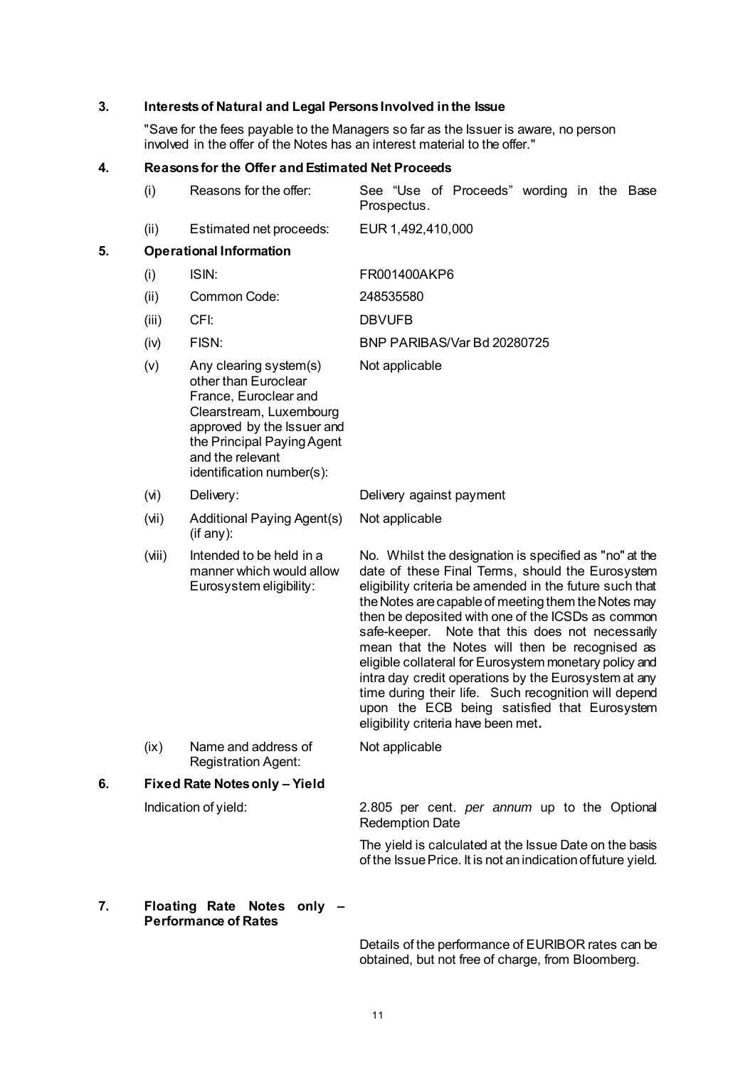# **3. Interests of Natural and Legal Persons Involved in the Issue**

"Save for the fees payable to the Managers so far as the Issuer is aware, no person involved in the offer of the Notes has an interest material to the offer."

# **4. Reasons for the Offer andEstimated Net Proceeds**

|    | (i)    | Reasons for the offer:                                                                                                                                                                                          | See "Use of Proceeds" wording in the Base<br>Prospectus.                                                                                                                                                                                                                                                                                                                                                                                                                                                                                                                                                                                                    |  |  |  |  |  |
|----|--------|-----------------------------------------------------------------------------------------------------------------------------------------------------------------------------------------------------------------|-------------------------------------------------------------------------------------------------------------------------------------------------------------------------------------------------------------------------------------------------------------------------------------------------------------------------------------------------------------------------------------------------------------------------------------------------------------------------------------------------------------------------------------------------------------------------------------------------------------------------------------------------------------|--|--|--|--|--|
|    | (ii)   | Estimated net proceeds:                                                                                                                                                                                         | EUR 1,492,410,000                                                                                                                                                                                                                                                                                                                                                                                                                                                                                                                                                                                                                                           |  |  |  |  |  |
| 5. |        | <b>Operational Information</b>                                                                                                                                                                                  |                                                                                                                                                                                                                                                                                                                                                                                                                                                                                                                                                                                                                                                             |  |  |  |  |  |
|    | (i)    | ISIN:                                                                                                                                                                                                           | FR001400AKP6                                                                                                                                                                                                                                                                                                                                                                                                                                                                                                                                                                                                                                                |  |  |  |  |  |
|    | (ii)   | Common Code:                                                                                                                                                                                                    | 248535580                                                                                                                                                                                                                                                                                                                                                                                                                                                                                                                                                                                                                                                   |  |  |  |  |  |
|    | (iii)  | CFI:                                                                                                                                                                                                            | <b>DBVUFB</b>                                                                                                                                                                                                                                                                                                                                                                                                                                                                                                                                                                                                                                               |  |  |  |  |  |
|    | (iv)   | FISN:                                                                                                                                                                                                           | BNP PARIBAS/Var Bd 20280725                                                                                                                                                                                                                                                                                                                                                                                                                                                                                                                                                                                                                                 |  |  |  |  |  |
|    | (v)    | Any clearing system(s)<br>other than Euroclear<br>France, Euroclear and<br>Clearstream, Luxembourg<br>approved by the Issuer and<br>the Principal Paying Agent<br>and the relevant<br>identification number(s): | Not applicable                                                                                                                                                                                                                                                                                                                                                                                                                                                                                                                                                                                                                                              |  |  |  |  |  |
|    | (v)    | Delivery:                                                                                                                                                                                                       | Delivery against payment                                                                                                                                                                                                                                                                                                                                                                                                                                                                                                                                                                                                                                    |  |  |  |  |  |
|    | (iN)   | Additional Paying Agent(s)<br>(if any):                                                                                                                                                                         | Not applicable                                                                                                                                                                                                                                                                                                                                                                                                                                                                                                                                                                                                                                              |  |  |  |  |  |
|    | (viii) | Intended to be held in a<br>manner which would allow<br>Eurosystem eligibility:                                                                                                                                 | No. Whilst the designation is specified as "no" at the<br>date of these Final Terms, should the Eurosystem<br>eligibility criteria be amended in the future such that<br>the Notes are capable of meeting them the Notes may<br>then be deposited with one of the ICSDs as common<br>Note that this does not necessarily<br>safe-keeper.<br>mean that the Notes will then be recognised as<br>eligible collateral for Eurosystem monetary policy and<br>intra day credit operations by the Eurosystem at any<br>time during their life. Such recognition will depend<br>upon the ECB being satisfied that Eurosystem<br>eligibility criteria have been met. |  |  |  |  |  |
|    | (ix)   | Name and address of<br><b>Registration Agent:</b>                                                                                                                                                               | Not applicable                                                                                                                                                                                                                                                                                                                                                                                                                                                                                                                                                                                                                                              |  |  |  |  |  |
| 6. |        | Fixed Rate Notes only - Yield                                                                                                                                                                                   |                                                                                                                                                                                                                                                                                                                                                                                                                                                                                                                                                                                                                                                             |  |  |  |  |  |
|    |        | Indication of yield:                                                                                                                                                                                            | 2.805 per cent. per annum up to the Optional<br><b>Redemption Date</b>                                                                                                                                                                                                                                                                                                                                                                                                                                                                                                                                                                                      |  |  |  |  |  |
|    |        |                                                                                                                                                                                                                 | The yield is calculated at the Issue Date on the basis<br>of the Issue Price. It is not an indication of future yield.                                                                                                                                                                                                                                                                                                                                                                                                                                                                                                                                      |  |  |  |  |  |

# **7. Floating Rate Notes only – Performance of Rates**

Details of the performance of EURIBOR rates can be obtained, but not free of charge, from Bloomberg.